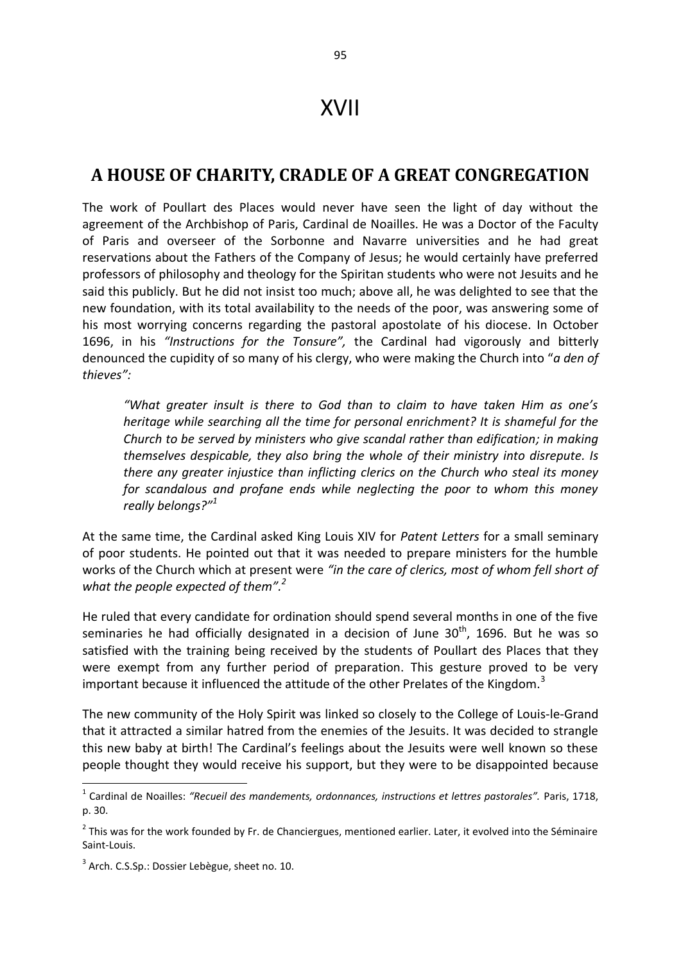## XVII

## **A HOUSE OF CHARITY, CRADLE OF A GREAT CONGREGATION**

The work of Poullart des Places would never have seen the light of day without the agreement of the Archbishop of Paris, Cardinal de Noailles. He was a Doctor of the Faculty of Paris and overseer of the Sorbonne and Navarre universities and he had great reservations about the Fathers of the Company of Jesus; he would certainly have preferred professors of philosophy and theology for the Spiritan students who were not Jesuits and he said this publicly. But he did not insist too much; above all, he was delighted to see that the new foundation, with its total availability to the needs of the poor, was answering some of his most worrying concerns regarding the pastoral apostolate of his diocese. In October 1696, in his *"Instructions for the Tonsure",* the Cardinal had vigorously and bitterly denounced the cupidity of so many of his clergy, who were making the Church into "*a den of thieves":* 

*"What greater insult is there to God than to claim to have taken Him as one's heritage while searching all the time for personal enrichment? It is shameful for the Church to be served by ministers who give scandal rather than edification; in making themselves despicable, they also bring the whole of their ministry into disrepute. Is there any greater injustice than inflicting clerics on the Church who steal its money for scandalous and profane ends while neglecting the poor to whom this money really belongs?" 1* 

At the same time, the Cardinal asked King Louis XIV for *Patent Letters* for a small seminary of poor students. He pointed out that it was needed to prepare ministers for the humble works of the Church which at present were *"in the care of clerics, most of whom fell short of what the people expected of them".<sup>2</sup>*

He ruled that every candidate for ordination should spend several months in one of the five seminaries he had officially designated in a decision of June  $30<sup>th</sup>$ , 1696. But he was so satisfied with the training being received by the students of Poullart des Places that they were exempt from any further period of preparation. This gesture proved to be very important because it influenced the attitude of the other Prelates of the Kingdom.<sup>3</sup>

The new community of the Holy Spirit was linked so closely to the College of Louis-le-Grand that it attracted a similar hatred from the enemies of the Jesuits. It was decided to strangle this new baby at birth! The Cardinal's feelings about the Jesuits were well known so these people thought they would receive his support, but they were to be disappointed because

 $\overline{a}$ 

<sup>&</sup>lt;sup>1</sup> Cardinal de Noailles: "Recueil des mandements, ordonnances, instructions et lettres pastorales". Paris, 1718, p. 30.

 $2$  This was for the work founded by Fr. de Chanciergues, mentioned earlier. Later, it evolved into the Séminaire Saint-Louis.

<sup>&</sup>lt;sup>3</sup> Arch. C.S.Sp.: Dossier Lebègue, sheet no. 10.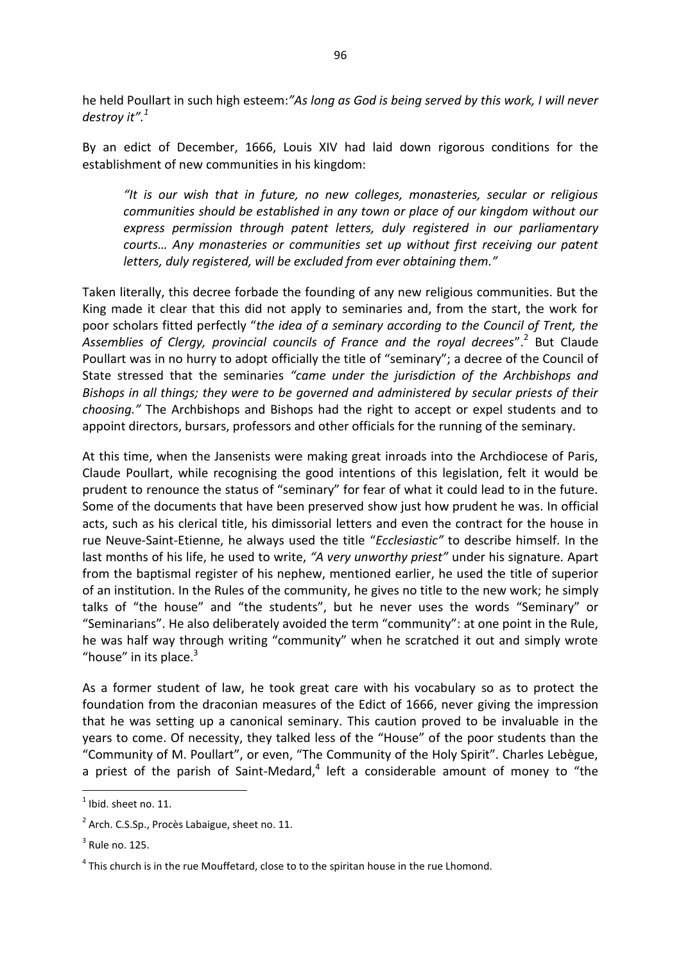he held Poullart in such high esteem:*"As long as God is being served by this work, I will never destroy it".<sup>1</sup>*

By an edict of December, 1666, Louis XIV had laid down rigorous conditions for the establishment of new communities in his kingdom:

*"It is our wish that in future, no new colleges, monasteries, secular or religious communities should be established in any town or place of our kingdom without our express permission through patent letters, duly registered in our parliamentary courts… Any monasteries or communities set up without first receiving our patent letters, duly registered, will be excluded from ever obtaining them."*

Taken literally, this decree forbade the founding of any new religious communities. But the King made it clear that this did not apply to seminaries and, from the start, the work for poor scholars fitted perfectly "*the idea of a seminary according to the Council of Trent, the*  Assemblies of Clergy, provincial councils of France and the royal decrees".<sup>2</sup> But Claude Poullart was in no hurry to adopt officially the title of "seminary"; a decree of the Council of State stressed that the seminaries *"came under the jurisdiction of the Archbishops and Bishops in all things; they were to be governed and administered by secular priests of their choosing."* The Archbishops and Bishops had the right to accept or expel students and to appoint directors, bursars, professors and other officials for the running of the seminary.

At this time, when the Jansenists were making great inroads into the Archdiocese of Paris, Claude Poullart, while recognising the good intentions of this legislation, felt it would be prudent to renounce the status of "seminary" for fear of what it could lead to in the future. Some of the documents that have been preserved show just how prudent he was. In official acts, such as his clerical title, his dimissorial letters and even the contract for the house in rue Neuve-Saint-Etienne, he always used the title "*Ecclesiastic"* to describe himself*.* In the last months of his life, he used to write, *"A very unworthy priest"* under his signature*.* Apart from the baptismal register of his nephew, mentioned earlier, he used the title of superior of an institution. In the Rules of the community, he gives no title to the new work; he simply talks of "the house" and "the students", but he never uses the words "Seminary" or "Seminarians". He also deliberately avoided the term "community": at one point in the Rule, he was half way through writing "community" when he scratched it out and simply wrote "house" in its place.<sup>3</sup>

As a former student of law, he took great care with his vocabulary so as to protect the foundation from the draconian measures of the Edict of 1666, never giving the impression that he was setting up a canonical seminary. This caution proved to be invaluable in the years to come. Of necessity, they talked less of the "House" of the poor students than the "Community of M. Poullart", or even, "The Community of the Holy Spirit". Charles Lebègue, a priest of the parish of Saint-Medard, $4$  left a considerable amount of money to "the

**.** 

 $<sup>1</sup>$  Ibid. sheet no. 11.</sup>

 $2^{2}$  Arch. C.S.Sp., Procès Labaigue, sheet no. 11.

 $3$  Rule no. 125.

 $<sup>4</sup>$  This church is in the rue Mouffetard, close to to the spiritan house in the rue Lhomond.</sup>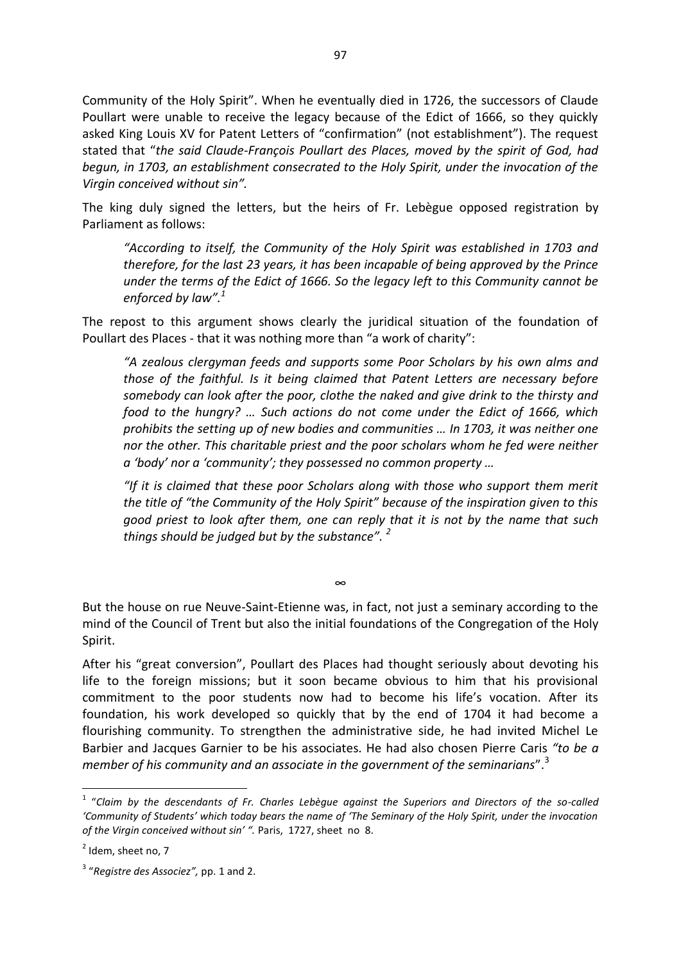Community of the Holy Spirit". When he eventually died in 1726, the successors of Claude Poullart were unable to receive the legacy because of the Edict of 1666, so they quickly asked King Louis XV for Patent Letters of "confirmation" (not establishment"). The request stated that "*the said Claude-François Poullart des Places, moved by the spirit of God, had begun, in 1703, an establishment consecrated to the Holy Spirit, under the invocation of the Virgin conceived without sin".* 

The king duly signed the letters, but the heirs of Fr. Lebègue opposed registration by Parliament as follows:

*"According to itself, the Community of the Holy Spirit was established in 1703 and therefore, for the last 23 years, it has been incapable of being approved by the Prince under the terms of the Edict of 1666. So the legacy left to this Community cannot be enforced by law".<sup>1</sup>*

The repost to this argument shows clearly the juridical situation of the foundation of Poullart des Places - that it was nothing more than "a work of charity":

*"A zealous clergyman feeds and supports some Poor Scholars by his own alms and those of the faithful. Is it being claimed that Patent Letters are necessary before somebody can look after the poor, clothe the naked and give drink to the thirsty and food to the hungry? … Such actions do not come under the Edict of 1666, which prohibits the setting up of new bodies and communities … In 1703, it was neither one nor the other. This charitable priest and the poor scholars whom he fed were neither a 'body' nor a 'community'; they possessed no common property …*

*"If it is claimed that these poor Scholars along with those who support them merit the title of "the Community of the Holy Spirit" because of the inspiration given to this good priest to look after them, one can reply that it is not by the name that such things should be judged but by the substance". <sup>2</sup>* 

But the house on rue Neuve-Saint-Etienne was, in fact, not just a seminary according to the mind of the Council of Trent but also the initial foundations of the Congregation of the Holy Spirit.

∞

After his "great conversion", Poullart des Places had thought seriously about devoting his life to the foreign missions; but it soon became obvious to him that his provisional commitment to the poor students now had to become his life's vocation. After its foundation, his work developed so quickly that by the end of 1704 it had become a flourishing community. To strengthen the administrative side, he had invited Michel Le Barbier and Jacques Garnier to be his associates. He had also chosen Pierre Caris *"to be a member of his community and an associate in the government of the seminarians*".<sup>3</sup>

1

<sup>&</sup>lt;sup>1</sup> "Claim by the descendants of Fr. Charles Lebègue against the Superiors and Directors of the so-called *'Community of Students' which today bears the name of 'The Seminary of the Holy Spirit, under the invocation of the Virgin conceived without sin' ".* Paris, 1727, sheet no 8.

 $2$  Idem, sheet no, 7

<sup>3</sup> "*Registre des Associez",* pp. 1 and 2.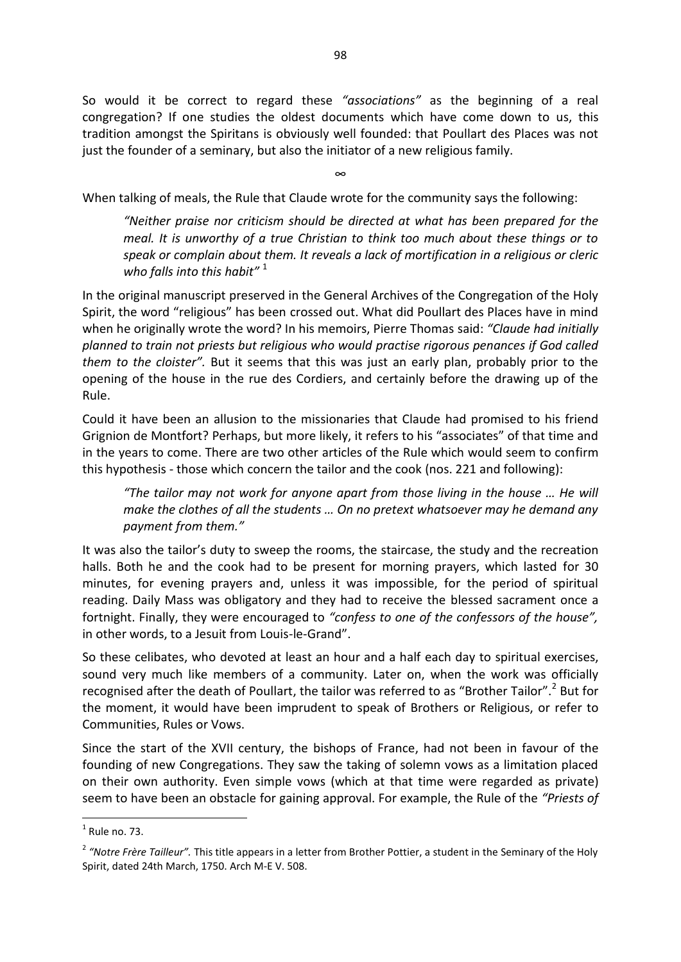So would it be correct to regard these *"associations"* as the beginning of a real congregation? If one studies the oldest documents which have come down to us, this tradition amongst the Spiritans is obviously well founded: that Poullart des Places was not just the founder of a seminary, but also the initiator of a new religious family.

∞

When talking of meals, the Rule that Claude wrote for the community says the following:

*"Neither praise nor criticism should be directed at what has been prepared for the meal. It is unworthy of a true Christian to think too much about these things or to speak or complain about them. It reveals a lack of mortification in a religious or cleric who falls into this habit"* 1

In the original manuscript preserved in the General Archives of the Congregation of the Holy Spirit, the word "religious" has been crossed out. What did Poullart des Places have in mind when he originally wrote the word? In his memoirs, Pierre Thomas said: *"Claude had initially planned to train not priests but religious who would practise rigorous penances if God called them to the cloister".* But it seems that this was just an early plan, probably prior to the opening of the house in the rue des Cordiers, and certainly before the drawing up of the Rule.

Could it have been an allusion to the missionaries that Claude had promised to his friend Grignion de Montfort? Perhaps, but more likely, it refers to his "associates" of that time and in the years to come. There are two other articles of the Rule which would seem to confirm this hypothesis - those which concern the tailor and the cook (nos. 221 and following):

*"The tailor may not work for anyone apart from those living in the house … He will make the clothes of all the students … On no pretext whatsoever may he demand any payment from them."*

It was also the tailor's duty to sweep the rooms, the staircase, the study and the recreation halls. Both he and the cook had to be present for morning prayers, which lasted for 30 minutes, for evening prayers and, unless it was impossible, for the period of spiritual reading. Daily Mass was obligatory and they had to receive the blessed sacrament once a fortnight. Finally, they were encouraged to *"confess to one of the confessors of the house",* in other words, to a Jesuit from Louis-le-Grand".

So these celibates, who devoted at least an hour and a half each day to spiritual exercises, sound very much like members of a community. Later on, when the work was officially recognised after the death of Poullart, the tailor was referred to as "Brother Tailor".<sup>2</sup> But for the moment, it would have been imprudent to speak of Brothers or Religious, or refer to Communities, Rules or Vows.

Since the start of the XVII century, the bishops of France, had not been in favour of the founding of new Congregations. They saw the taking of solemn vows as a limitation placed on their own authority. Even simple vows (which at that time were regarded as private) seem to have been an obstacle for gaining approval. For example, the Rule of the *"Priests of*

 $\frac{1}{1}$ Rule no. 73.

<sup>&</sup>lt;sup>2</sup> "Notre Frère Tailleur". This title appears in a letter from Brother Pottier, a student in the Seminary of the Holy Spirit, dated 24th March, 1750. Arch M-E V. 508.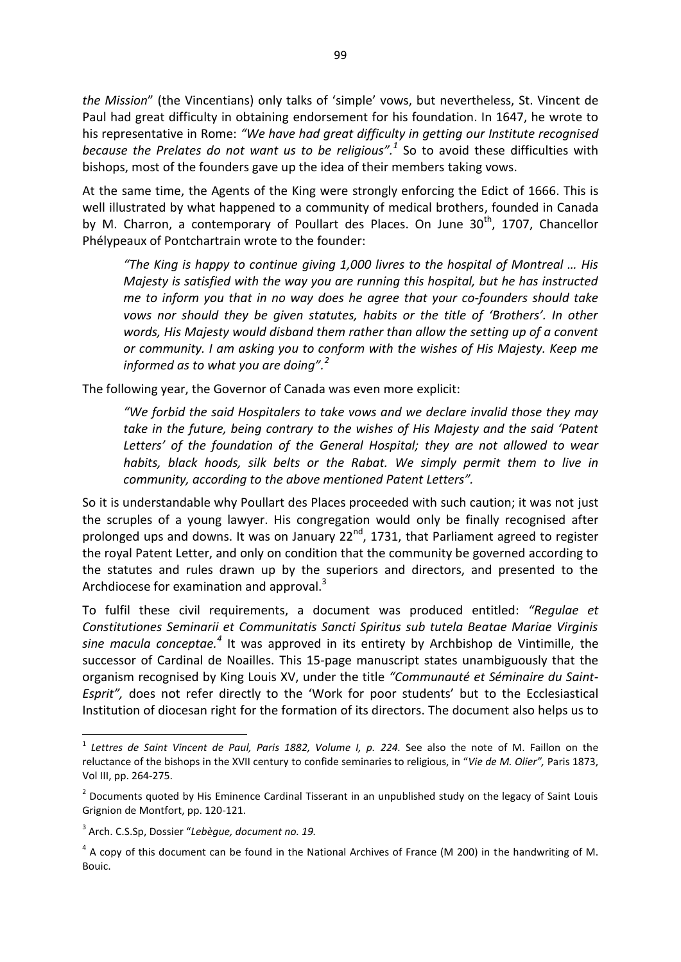*the Mission*" (the Vincentians) only talks of 'simple' vows, but nevertheless, St. Vincent de Paul had great difficulty in obtaining endorsement for his foundation. In 1647, he wrote to his representative in Rome: *"We have had great difficulty in getting our Institute recognised because the Prelates do not want us to be religious".<sup>1</sup>* So to avoid these difficulties with bishops, most of the founders gave up the idea of their members taking vows.

At the same time, the Agents of the King were strongly enforcing the Edict of 1666. This is well illustrated by what happened to a community of medical brothers, founded in Canada by M. Charron, a contemporary of Poullart des Places. On June  $30<sup>th</sup>$ , 1707, Chancellor Phélypeaux of Pontchartrain wrote to the founder:

*"The King is happy to continue giving 1,000 livres to the hospital of Montreal … His Majesty is satisfied with the way you are running this hospital, but he has instructed me to inform you that in no way does he agree that your co-founders should take vows nor should they be given statutes, habits or the title of 'Brothers'. In other words, His Majesty would disband them rather than allow the setting up of a convent or community. I am asking you to conform with the wishes of His Majesty. Keep me informed as to what you are doing".<sup>2</sup>* 

The following year, the Governor of Canada was even more explicit:

*"We forbid the said Hospitalers to take vows and we declare invalid those they may take in the future, being contrary to the wishes of His Majesty and the said 'Patent Letters' of the foundation of the General Hospital; they are not allowed to wear habits, black hoods, silk belts or the Rabat. We simply permit them to live in community, according to the above mentioned Patent Letters".* 

So it is understandable why Poullart des Places proceeded with such caution; it was not just the scruples of a young lawyer. His congregation would only be finally recognised after prolonged ups and downs. It was on January 22nd, 1731, that Parliament agreed to register the royal Patent Letter, and only on condition that the community be governed according to the statutes and rules drawn up by the superiors and directors, and presented to the Archdiocese for examination and approval.<sup>3</sup>

To fulfil these civil requirements, a document was produced entitled: *"Regulae et Constitutiones Seminarii et Communitatis Sancti Spiritus sub tutela Beatae Mariae Virginis sine macula conceptae.<sup>4</sup>* It was approved in its entirety by Archbishop de Vintimille, the successor of Cardinal de Noailles. This 15-page manuscript states unambiguously that the organism recognised by King Louis XV, under the title *"Communauté et Séminaire du Saint-Esprit",* does not refer directly to the 'Work for poor students' but to the Ecclesiastical Institution of diocesan right for the formation of its directors. The document also helps us to

**.** 

<sup>&</sup>lt;sup>1</sup> Lettres de Saint Vincent de Paul, Paris 1882, Volume I, p. 224. See also the note of M. Faillon on the reluctance of the bishops in the XVII century to confide seminaries to religious, in "*Vie de M. Olier",* Paris 1873, Vol III, pp. 264-275.

<sup>&</sup>lt;sup>2</sup> Documents quoted by His Eminence Cardinal Tisserant in an unpublished study on the legacy of Saint Louis Grignion de Montfort, pp. 120-121.

<sup>3</sup> Arch. C.S.Sp, Dossier "*Lebègue, document no. 19.* 

 $<sup>4</sup>$  A copy of this document can be found in the National Archives of France (M 200) in the handwriting of M.</sup> Bouic.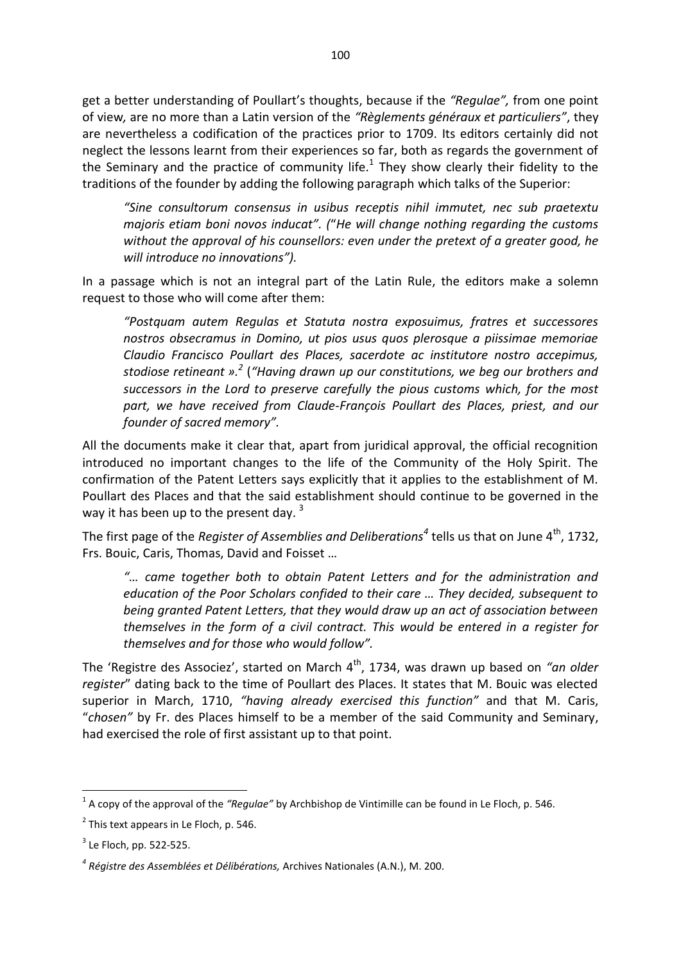get a better understanding of Poullart's thoughts, because if the *"Regulae",* from one point of view*,* are no more than a Latin version of the *"Règlements généraux et particuliers"*, they are nevertheless a codification of the practices prior to 1709. Its editors certainly did not neglect the lessons learnt from their experiences so far, both as regards the government of the Seminary and the practice of community life.<sup>1</sup> They show clearly their fidelity to the traditions of the founder by adding the following paragraph which talks of the Superior:

*"Sine consultorum consensus in usibus receptis nihil immutet, nec sub praetextu majoris etiam boni novos inducat". (*"*He will change nothing regarding the customs without the approval of his counsellors: even under the pretext of a greater good, he will introduce no innovations").* 

In a passage which is not an integral part of the Latin Rule, the editors make a solemn request to those who will come after them:

*"Postquam autem Regulas et Statuta nostra exposuimus, fratres et successores nostros obsecramus in Domino, ut pios usus quos plerosque a piissimae memoriae Claudio Francisco Poullart des Places, sacerdote ac institutore nostro accepimus, stodiose retineant ». 2* (*"Having drawn up our constitutions, we beg our brothers and successors in the Lord to preserve carefully the pious customs which, for the most part, we have received from Claude-François Poullart des Places, priest, and our founder of sacred memory".* 

All the documents make it clear that, apart from juridical approval, the official recognition introduced no important changes to the life of the Community of the Holy Spirit. The confirmation of the Patent Letters says explicitly that it applies to the establishment of M. Poullart des Places and that the said establishment should continue to be governed in the way it has been up to the present day.  $3$ 

The first page of the *Register of Assemblies and Deliberations*<sup>4</sup> tells us that on June 4<sup>th</sup>, 1732, Frs. Bouic, Caris, Thomas, David and Foisset …

*"… came together both to obtain Patent Letters and for the administration and education of the Poor Scholars confided to their care … They decided, subsequent to being granted Patent Letters, that they would draw up an act of association between themselves in the form of a civil contract. This would be entered in a register for themselves and for those who would follow".* 

The 'Registre des Associez', started on March 4<sup>th</sup>, 1734, was drawn up based on "an older *register*" dating back to the time of Poullart des Places. It states that M. Bouic was elected superior in March, 1710, *"having already exercised this function"* and that M. Caris, "*chosen"* by Fr. des Places himself to be a member of the said Community and Seminary, had exercised the role of first assistant up to that point.

 1 A copy of the approval of the *"Regulae"* by Archbishop de Vintimille can be found in Le Floch, p. 546.

 $2$  This text appears in Le Floch, p. 546.

 $3$  Le Floch, pp. 522-525.

*<sup>4</sup> Régistre des Assemblées et Délibérations,* Archives Nationales (A.N.), M. 200.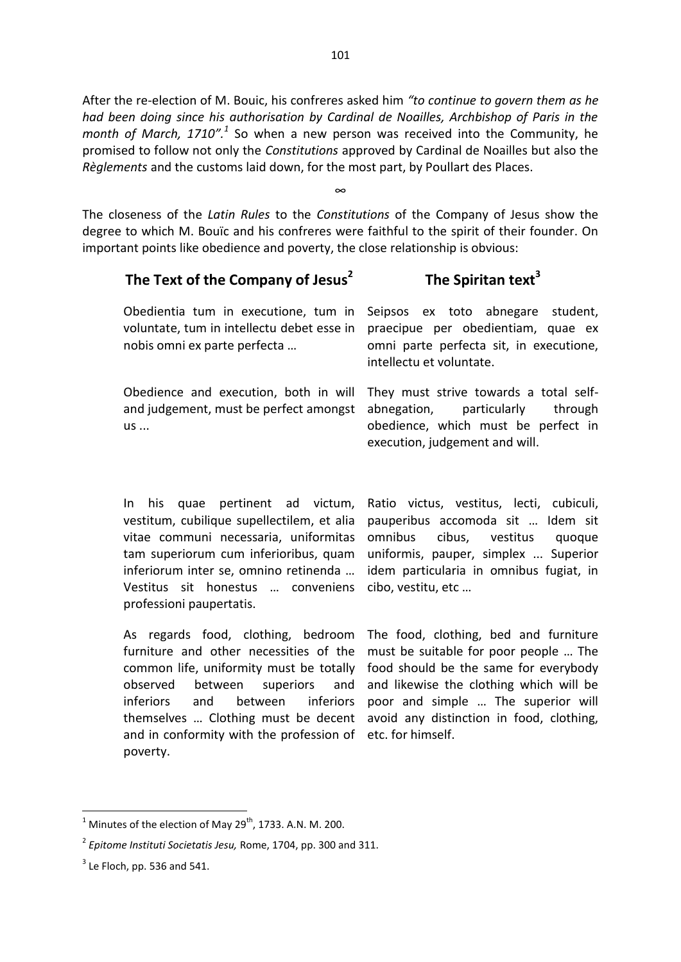After the re-election of M. Bouic, his confreres asked him *"to continue to govern them as he had been doing since his authorisation by Cardinal de Noailles, Archbishop of Paris in the*  month of March, 1710".<sup>1</sup> So when a new person was received into the Community, he promised to follow not only the *Constitutions* approved by Cardinal de Noailles but also the *Règlements* and the customs laid down, for the most part, by Poullart des Places.

The closeness of the *Latin Rules* to the *Constitutions* of the Company of Jesus show the degree to which M. Bouïc and his confreres were faithful to the spirit of their founder. On important points like obedience and poverty, the close relationship is obvious:

∞

| The Text of the Company of Jesus <sup>2</sup>                                                                      | The Spiritan text <sup>3</sup>                                                                                                                            |
|--------------------------------------------------------------------------------------------------------------------|-----------------------------------------------------------------------------------------------------------------------------------------------------------|
| Obedientia tum in executione, tum in<br>voluntate, tum in intellectu debet esse in<br>nobis omni ex parte perfecta | Seipsos ex toto abnegare<br>student.<br>praecipue per obedientiam, quae ex<br>omni parte perfecta sit, in executione,<br>intellectu et voluntate.         |
| Obedience and execution, both in will<br>and judgement, must be perfect amongst<br>$US \ldots$                     | They must strive towards a total self-<br>abnegation,<br>particularly<br>through<br>obedience, which must be perfect in<br>execution, judgement and will. |

In his quae pertinent ad victum, vestitum, cubilique supellectilem, et alia vitae communi necessaria, uniformitas omnibus cibus, vestitus quoque tam superiorum cum inferioribus, quam inferiorum inter se, omnino retinenda … Vestitus sit honestus … conveniens cibo, vestitu, etc … professioni paupertatis.

Ratio victus, vestitus, lecti, cubiculi, pauperibus accomoda sit … Idem sit uniformis, pauper, simplex ... Superior idem particularia in omnibus fugiat, in

As regards food, clothing, bedroom furniture and other necessities of the common life, uniformity must be totally observed between superiors and inferiors and between inferiors themselves … Clothing must be decent avoid any distinction in food, clothing, and in conformity with the profession of etc. for himself. poverty.

The food, clothing, bed and furniture must be suitable for poor people … The food should be the same for everybody and likewise the clothing which will be poor and simple … The superior will

 $\frac{1}{1}$ Minutes of the election of May 29<sup>th</sup>, 1733. A.N. M. 200.

<sup>2</sup> *Epitome Instituti Societatis Jesu,* Rome, 1704, pp. 300 and 311.

 $3$  Le Floch, pp. 536 and 541.